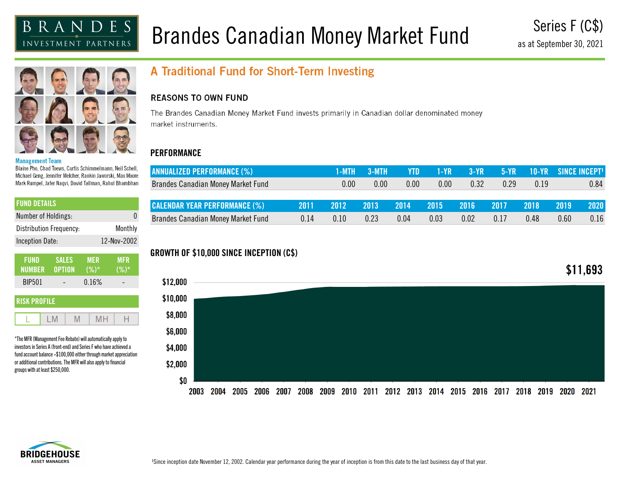# Brandes Canadian Money Market Fund

Series F (C\$) as at September 30, 2021



#### **Management Team**

Blaine Pho, Chad Toews, Curtis Schimmelmann, Neil Schell, Michael Geng, Jennifer Melcher, Rankin Jaworski, Max Moore Mark Rumpel, Jafer Nagvi, David Tallman, Rahul Bhambhan

| I FUND DETAILS          |             |
|-------------------------|-------------|
| Number of Holdings:     | N           |
| Distribution Frequency: | Monthly     |
| <b>Inception Date:</b>  | 12-Nov-2002 |
|                         |             |

| <b>FUND</b>   | <b>SALES</b> | <b>MER</b> | <b>MFR</b> |
|---------------|--------------|------------|------------|
| NUMBER OPTION |              | $(%)^*$    | $(%)^*$    |
| <b>BIP501</b> |              | 0.16%      |            |

| <b>RISK PROFILE</b> |  |  |  |  |  |  |
|---------------------|--|--|--|--|--|--|
|                     |  |  |  |  |  |  |

\*The MFR (Management Fee Rebate) will automatically apply to investors in Series A (front-end) and Series F who have achieved a fund account balance >\$100,000 either through market appreciation or additional contributions. The MFR will also apply to financial groups with at least \$250,000.

# A Traditional Fund for Short-Term Investing

#### **REASONS TO OWN FUND**

The Brandes Canadian Money Market Fund invests primarily in Canadian dollar denominated money market instruments.

## **PERFORMANCE**

| <b>ANNUALIZED PERFORMANCE (%)</b>         |      | 1-MTH | 3-MTH | YTD. | 1-YR | $3-YR$ | $5-YR$ |      | $10$ -yr Since Incept! |
|-------------------------------------------|------|-------|-------|------|------|--------|--------|------|------------------------|
| <b>Brandes Canadian Money Market Fund</b> |      | 0.00  | 0.00  | 0.00 | 0.00 | 0.32   | 0.29   | 0.19 | 0.84                   |
|                                           |      |       |       |      |      |        |        |      |                        |
| <b>CALENDAR YEAR PERFORMANCE (%)</b>      | 2011 | 2012  | 2013  | 2014 | 2015 | 2016   | 2017   | 2018 | 2020<br>2019           |
| <b>Brandes Canadian Money Market Fund</b> | 0.14 | 0.10  | 0.23  | 0.04 | 0.03 | 0.02   | 0.17   | 0.48 | 0.16<br>0.60           |

#### \$11,693 \$12,000 \$10,000 \$8,000 \$6,000 \$4,000 \$2,000 \$0 2010 2011 2012 2013 2014 2015 2016 2017 2018 2019 2020 2021 2003 2004 2005 2006 2007 2008 2009



# **GROWTH OF \$10,000 SINCE INCEPTION (C\$)**